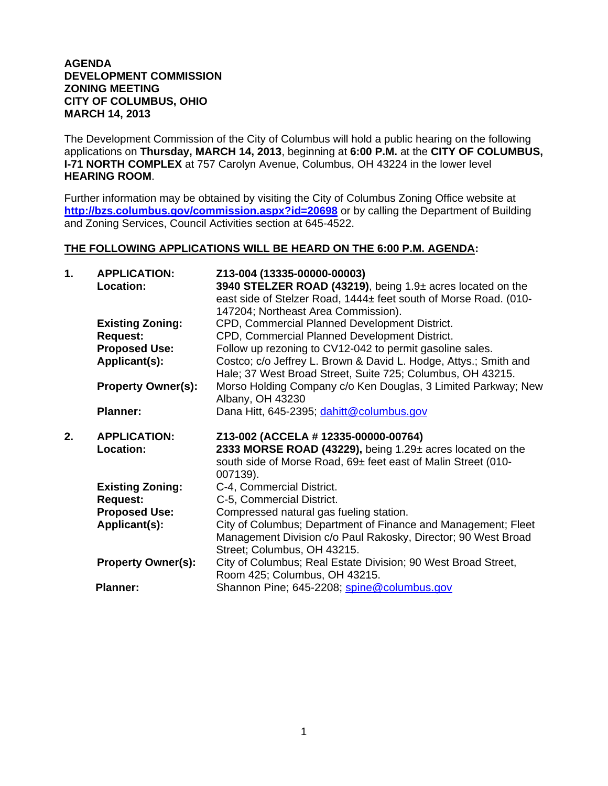## **AGENDA DEVELOPMENT COMMISSION ZONING MEETING CITY OF COLUMBUS, OHIO MARCH 14, 2013**

The Development Commission of the City of Columbus will hold a public hearing on the following applications on **Thursday, MARCH 14, 2013**, beginning at **6:00 P.M.** at the **CITY OF COLUMBUS, I-71 NORTH COMPLEX** at 757 Carolyn Avenue, Columbus, OH 43224 in the lower level **HEARING ROOM**.

Further information may be obtained by visiting the City of Columbus Zoning Office website at **http://bzs.columbus.gov/commission.aspx?id=20698** or by calling the Department of Building and Zoning Services, Council Activities section at 645-4522.

## **THE FOLLOWING APPLICATIONS WILL BE HEARD ON THE 6:00 P.M. AGENDA:**

| 1. | <b>APPLICATION:</b><br>Location:           | Z13-004 (13335-00000-00003)<br>3940 STELZER ROAD (43219), being 1.9± acres located on the<br>east side of Stelzer Road, 1444± feet south of Morse Road. (010-<br>147204; Northeast Area Commission). |
|----|--------------------------------------------|------------------------------------------------------------------------------------------------------------------------------------------------------------------------------------------------------|
|    | <b>Existing Zoning:</b>                    | CPD, Commercial Planned Development District.                                                                                                                                                        |
|    | <b>Request:</b>                            | CPD, Commercial Planned Development District.                                                                                                                                                        |
|    | <b>Proposed Use:</b>                       | Follow up rezoning to CV12-042 to permit gasoline sales.                                                                                                                                             |
|    | Applicant(s):                              | Costco; c/o Jeffrey L. Brown & David L. Hodge, Attys.; Smith and<br>Hale; 37 West Broad Street, Suite 725; Columbus, OH 43215.                                                                       |
|    | <b>Property Owner(s):</b>                  | Morso Holding Company c/o Ken Douglas, 3 Limited Parkway; New<br>Albany, OH 43230                                                                                                                    |
|    | <b>Planner:</b>                            | Dana Hitt, 645-2395; dahitt@columbus.gov                                                                                                                                                             |
| 2. |                                            |                                                                                                                                                                                                      |
|    | <b>APPLICATION:</b><br>Location:           | Z13-002 (ACCELA # 12335-00000-00764)<br>2333 MORSE ROAD (43229), being 1.29± acres located on the<br>south side of Morse Road, 69± feet east of Malin Street (010-                                   |
|    |                                            | 007139).                                                                                                                                                                                             |
|    | <b>Existing Zoning:</b><br><b>Request:</b> | C-4, Commercial District.<br>C-5, Commercial District.                                                                                                                                               |
|    | <b>Proposed Use:</b>                       | Compressed natural gas fueling station.                                                                                                                                                              |
|    | Applicant(s):                              | City of Columbus; Department of Finance and Management; Fleet<br>Management Division c/o Paul Rakosky, Director; 90 West Broad                                                                       |
|    | <b>Property Owner(s):</b>                  | Street; Columbus, OH 43215.<br>City of Columbus; Real Estate Division; 90 West Broad Street,<br>Room 425; Columbus, OH 43215.                                                                        |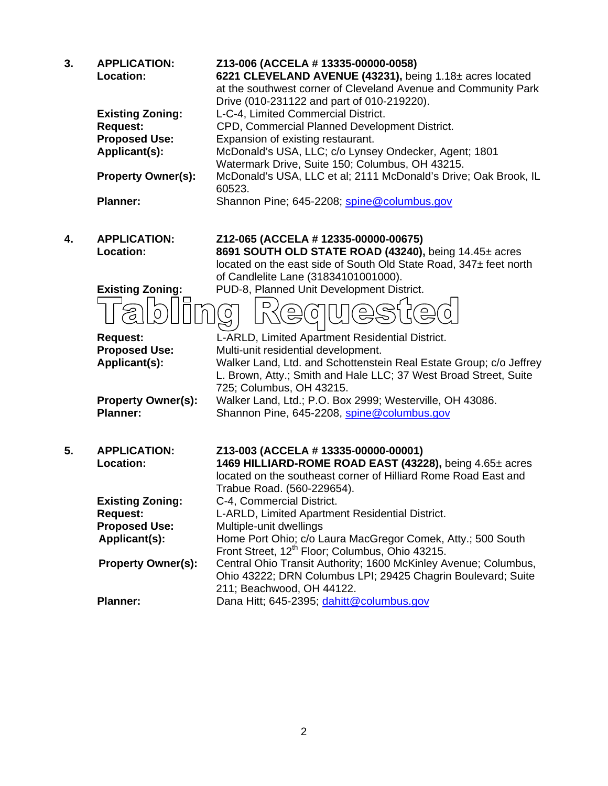| 3. | <b>APPLICATION:</b><br><b>Location:</b> | Z13-006 (ACCELA # 13335-00000-0058)<br>6221 CLEVELAND AVENUE (43231), being 1.18± acres located<br>at the southwest corner of Cleveland Avenue and Community Park<br>Drive (010-231122 and part of 010-219220). |
|----|-----------------------------------------|-----------------------------------------------------------------------------------------------------------------------------------------------------------------------------------------------------------------|
|    | <b>Existing Zoning:</b>                 | L-C-4, Limited Commercial District.                                                                                                                                                                             |
|    | <b>Request:</b>                         | CPD, Commercial Planned Development District.                                                                                                                                                                   |
|    | <b>Proposed Use:</b>                    | Expansion of existing restaurant.                                                                                                                                                                               |
|    | Applicant(s):                           | McDonald's USA, LLC; c/o Lynsey Ondecker, Agent; 1801                                                                                                                                                           |
|    |                                         | Watermark Drive, Suite 150; Columbus, OH 43215.                                                                                                                                                                 |
|    | <b>Property Owner(s):</b>               | McDonald's USA, LLC et al; 2111 McDonald's Drive; Oak Brook, IL<br>60523.                                                                                                                                       |
|    | <b>Planner:</b>                         | Shannon Pine; 645-2208; spine@columbus.gov                                                                                                                                                                      |
| 4. | <b>APPLICATION:</b>                     | Z12-065 (ACCELA # 12335-00000-00675)                                                                                                                                                                            |
|    | Location:                               | 8691 SOUTH OLD STATE ROAD (43240), being 14.45± acres                                                                                                                                                           |
|    |                                         | located on the east side of South Old State Road, 347± feet north                                                                                                                                               |
|    |                                         | of Candlelite Lane (31834101001000).                                                                                                                                                                            |
|    | <b>Existing Zoning:</b>                 | PUD-8, Planned Unit Development District.                                                                                                                                                                       |
|    |                                         |                                                                                                                                                                                                                 |
|    | <b>Request:</b>                         | L-ARLD, Limited Apartment Residential District.                                                                                                                                                                 |
|    | <b>Proposed Use:</b>                    | Multi-unit residential development.                                                                                                                                                                             |
|    | Applicant(s):                           | Walker Land, Ltd. and Schottenstein Real Estate Group; c/o Jeffrey                                                                                                                                              |
|    |                                         | L. Brown, Atty.; Smith and Hale LLC; 37 West Broad Street, Suite                                                                                                                                                |
|    |                                         | 725; Columbus, OH 43215.                                                                                                                                                                                        |
|    | <b>Property Owner(s):</b>               | Walker Land, Ltd.; P.O. Box 2999; Westerville, OH 43086.                                                                                                                                                        |
|    | <b>Planner:</b>                         | Shannon Pine, 645-2208, spine@columbus.gov                                                                                                                                                                      |
| 5. | <b>APPLICATION:</b>                     | Z13-003 (ACCELA # 13335-00000-00001)                                                                                                                                                                            |
|    | Location:                               | 1469 HILLIARD-ROME ROAD EAST (43228), being 4.65± acres                                                                                                                                                         |
|    |                                         | located on the southeast corner of Hilliard Rome Road East and                                                                                                                                                  |
|    | <b>Existing Zoning:</b>                 | Trabue Road. (560-229654).<br>C-4, Commercial District.                                                                                                                                                         |
|    | <b>Request:</b>                         | L-ARLD, Limited Apartment Residential District.                                                                                                                                                                 |
|    | <b>Proposed Use:</b>                    | Multiple-unit dwellings                                                                                                                                                                                         |
|    | Applicant(s):                           | Home Port Ohio; c/o Laura MacGregor Comek, Atty.; 500 South                                                                                                                                                     |
|    |                                         | Front Street, 12 <sup>th</sup> Floor; Columbus, Ohio 43215.                                                                                                                                                     |
|    | <b>Property Owner(s):</b>               | Central Ohio Transit Authority; 1600 McKinley Avenue; Columbus,<br>Ohio 43222; DRN Columbus LPI; 29425 Chagrin Boulevard; Suite<br>211; Beachwood, OH 44122.                                                    |
|    | <b>Planner:</b>                         | Dana Hitt; 645-2395; dahitt@columbus.gov                                                                                                                                                                        |